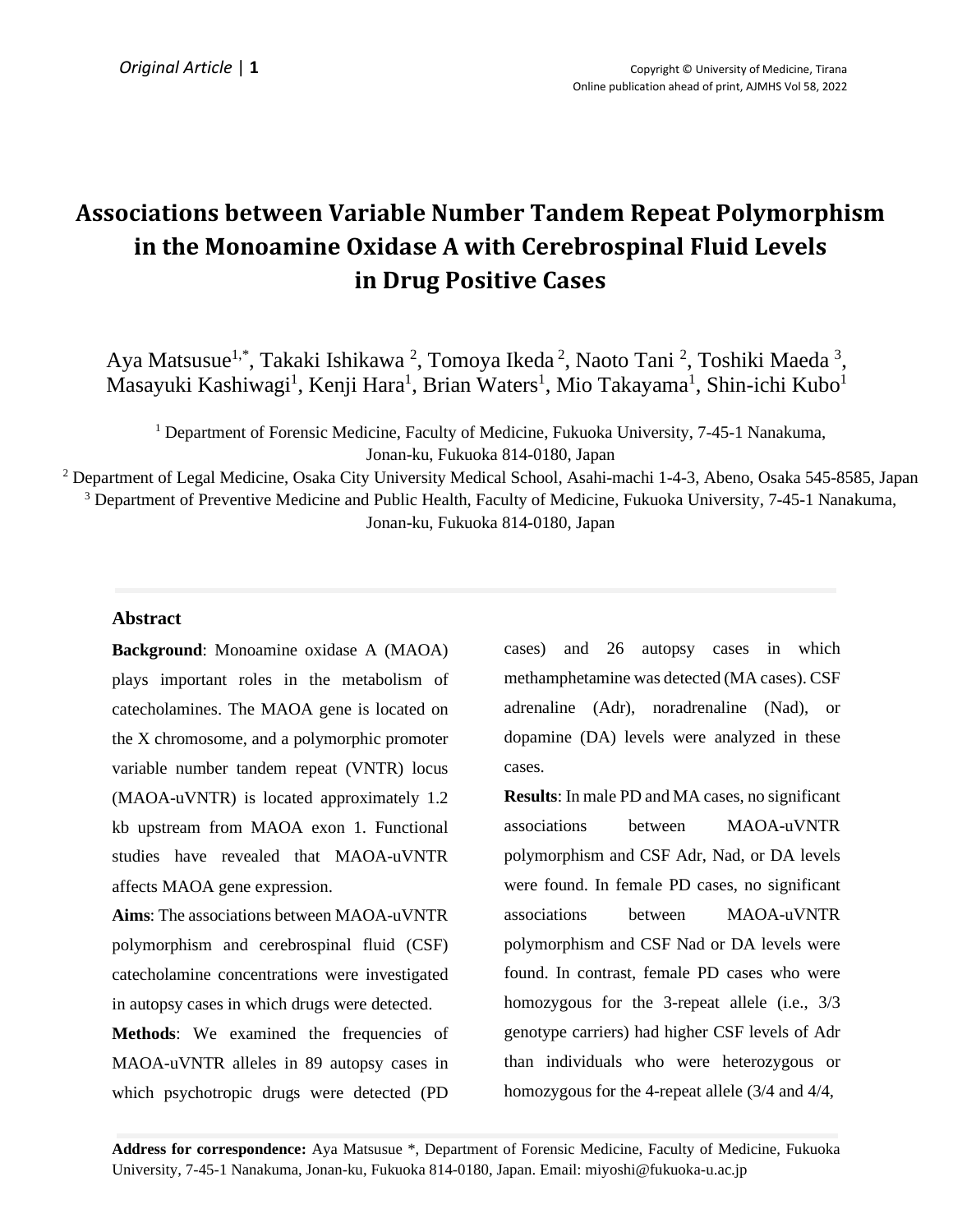# **Associations between Variable Number Tandem Repeat Polymorphism in the Monoamine Oxidase A with Cerebrospinal Fluid Levels in Drug Positive Cases**

Aya Matsusue<sup>1,\*</sup>, Takaki Ishikawa<sup>2</sup>, Tomoya Ikeda<sup>2</sup>, Naoto Tani<sup>2</sup>, Toshiki Maeda<sup>3</sup>, Masayuki Kashiwagi<sup>1</sup>, Kenji Hara<sup>1</sup>, Brian Waters<sup>1</sup>, Mio Takayama<sup>1</sup>, Shin-ichi Kubo<sup>1</sup>

<sup>1</sup> Department of Forensic Medicine, Faculty of Medicine, Fukuoka University, 7-45-1 Nanakuma, Jonan-ku, Fukuoka 814-0180, Japan

<sup>2</sup> Department of Legal Medicine, Osaka City University Medical School, Asahi-machi 1-4-3, Abeno, Osaka 545-8585, Japan <sup>3</sup> Department of Preventive Medicine and Public Health, Faculty of Medicine, Fukuoka University, 7-45-1 Nanakuma, Jonan-ku, Fukuoka 814-0180, Japan

## **Abstract**

**Background**: Monoamine oxidase A (MAOA) plays important roles in the metabolism of catecholamines. The MAOA gene is located on the X chromosome, and a polymorphic promoter variable number tandem repeat (VNTR) locus (MAOA-uVNTR) is located approximately 1.2 kb upstream from MAOA exon 1. Functional studies have revealed that MAOA-uVNTR affects MAOA gene expression.

**Aims**: The associations between MAOA-uVNTR polymorphism and cerebrospinal fluid (CSF) catecholamine concentrations were investigated in autopsy cases in which drugs were detected.

**Methods**: We examined the frequencies of MAOA-uVNTR alleles in 89 autopsy cases in which psychotropic drugs were detected (PD

cases) and 26 autopsy cases in which methamphetamine was detected (MA cases). CSF adrenaline (Adr), noradrenaline (Nad), or dopamine (DA) levels were analyzed in these cases.

**Results**: In male PD and MA cases, no significant associations between MAOA-uVNTR polymorphism and CSF Adr, Nad, or DA levels were found. In female PD cases, no significant associations between MAOA-uVNTR polymorphism and CSF Nad or DA levels were found. In contrast, female PD cases who were homozygous for the 3-repeat allele (i.e., 3/3 genotype carriers) had higher CSF levels of Adr than individuals who were heterozygous or homozygous for the 4-repeat allele (3/4 and 4/4,

**Address for correspondence:** Aya Matsusue \*, Department of Forensic Medicine, Faculty of Medicine, Fukuoka University, 7-45-1 Nanakuma, Jonan-ku, Fukuoka 814-0180, Japan. Email: miyoshi@fukuoka-u.ac.jp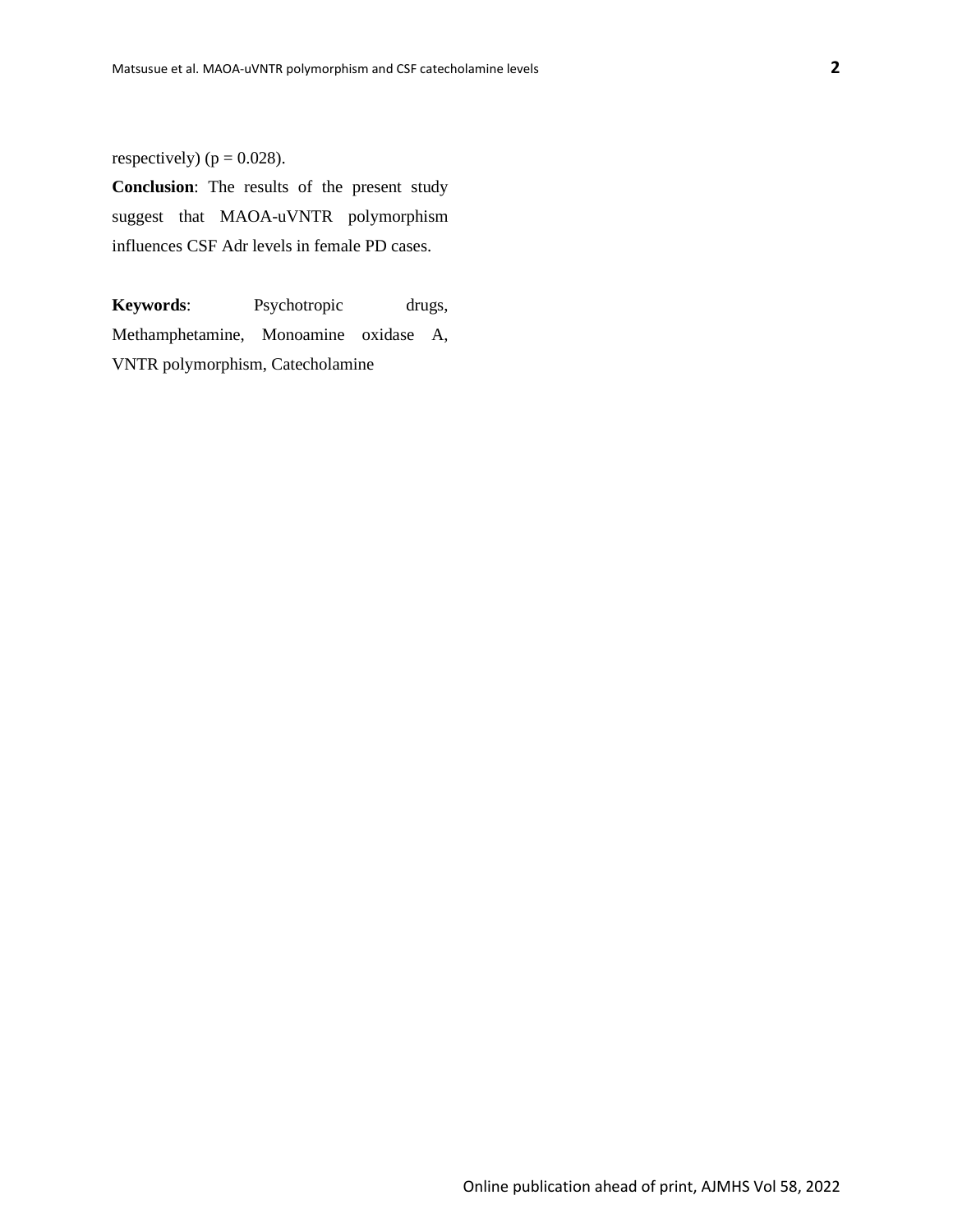respectively) ( $p = 0.028$ ).

**Conclusion**: The results of the present study suggest that MAOA-uVNTR polymorphism influences CSF Adr levels in female PD cases.

**Keywords**: Psychotropic drugs, Methamphetamine, Monoamine oxidase A, VNTR polymorphism, Catecholamine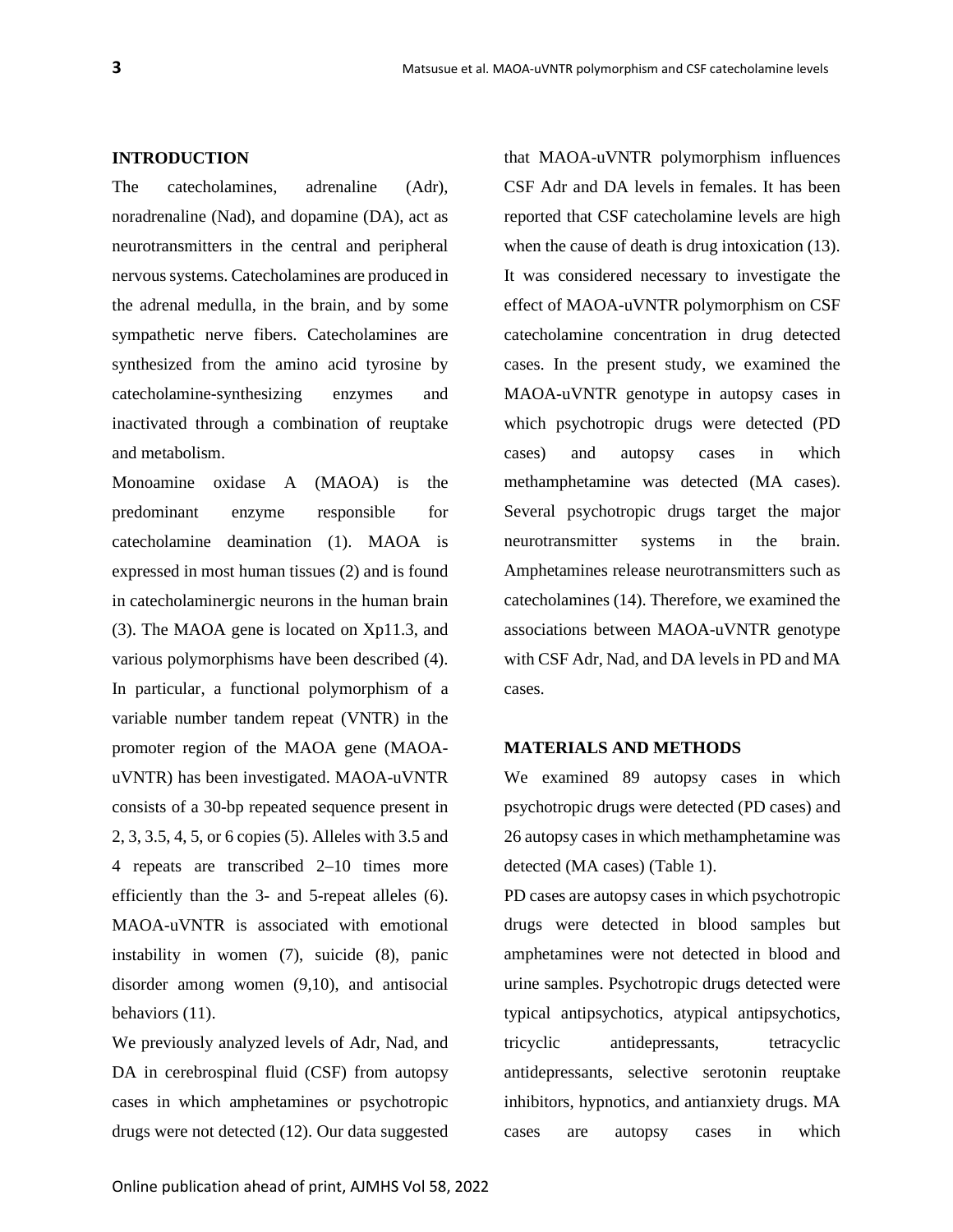#### **INTRODUCTION**

The catecholamines, adrenaline (Adr), noradrenaline (Nad), and dopamine (DA), act as neurotransmitters in the central and peripheral nervous systems. Catecholamines are produced in the adrenal medulla, in the brain, and by some sympathetic nerve fibers. Catecholamines are synthesized from the amino acid tyrosine by catecholamine-synthesizing enzymes and inactivated through a combination of reuptake and metabolism.

Monoamine oxidase A (MAOA) is the predominant enzyme responsible for catecholamine deamination (1). MAOA is expressed in most human tissues (2) and is found in catecholaminergic neurons in the human brain (3). The MAOA gene is located on Xp11.3, and various polymorphisms have been described (4). In particular, a functional polymorphism of a variable number tandem repeat (VNTR) in the promoter region of the MAOA gene (MAOAuVNTR) has been investigated. MAOA-uVNTR consists of a 30-bp repeated sequence present in 2, 3, 3.5, 4, 5, or 6 copies (5). Alleles with 3.5 and 4 repeats are transcribed 2–10 times more efficiently than the 3- and 5-repeat alleles (6). MAOA-uVNTR is associated with emotional instability in women (7), suicide (8), panic disorder among women (9,10), and antisocial behaviors (11).

We previously analyzed levels of Adr, Nad, and DA in cerebrospinal fluid (CSF) from autopsy cases in which amphetamines or psychotropic drugs were not detected (12). Our data suggested

that MAOA-uVNTR polymorphism influences CSF Adr and DA levels in females. It has been reported that CSF catecholamine levels are high when the cause of death is drug intoxication (13). It was considered necessary to investigate the effect of MAOA-uVNTR polymorphism on CSF catecholamine concentration in drug detected cases. In the present study, we examined the MAOA-uVNTR genotype in autopsy cases in which psychotropic drugs were detected (PD cases) and autopsy cases in which methamphetamine was detected (MA cases). Several psychotropic drugs target the major neurotransmitter systems in the brain. Amphetamines release neurotransmitters such as catecholamines (14). Therefore, we examined the associations between MAOA-uVNTR genotype with CSF Adr, Nad, and DA levels in PD and MA cases.

#### **MATERIALS AND METHODS**

We examined 89 autopsy cases in which psychotropic drugs were detected (PD cases) and 26 autopsy cases in which methamphetamine was detected (MA cases) (Table 1).

PD cases are autopsy cases in which psychotropic drugs were detected in blood samples but amphetamines were not detected in blood and urine samples. Psychotropic drugs detected were typical antipsychotics, atypical antipsychotics, tricyclic antidepressants, tetracyclic antidepressants, selective serotonin reuptake inhibitors, hypnotics, and antianxiety drugs. MA cases are autopsy cases in which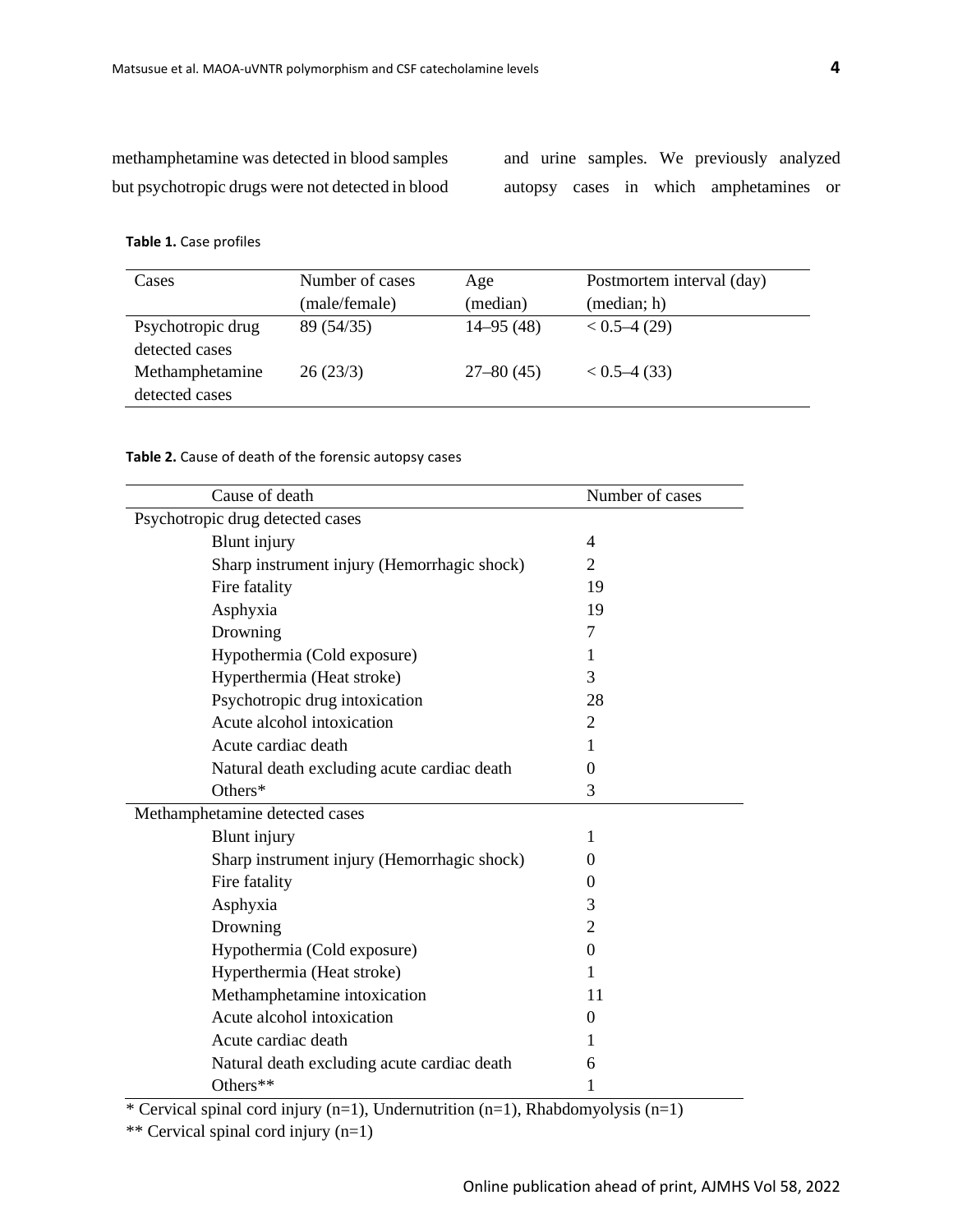methamphetamine was detected in blood samples but psychotropic drugs were not detected in blood and urine samples. We previously analyzed autopsy cases in which amphetamines or

#### **Table 1.** Case profiles

| Cases             | Number of cases | Age           | Postmortem interval (day) |
|-------------------|-----------------|---------------|---------------------------|
|                   | (male/female)   | (median)      | (median; h)               |
| Psychotropic drug | 89 (54/35)      | $14 - 95(48)$ | $< 0.5 - 4(29)$           |
| detected cases    |                 |               |                           |
| Methamphetamine   | 26(23/3)        | $27 - 80(45)$ | $< 0.5 - 4(33)$           |
| detected cases    |                 |               |                           |

#### **Table 2.** Cause of death of the forensic autopsy cases

| Cause of death                              | Number of cases |
|---------------------------------------------|-----------------|
| Psychotropic drug detected cases            |                 |
| <b>Blunt</b> injury                         | 4               |
| Sharp instrument injury (Hemorrhagic shock) | $\overline{2}$  |
| Fire fatality                               | 19              |
| Asphyxia                                    | 19              |
| Drowning                                    | 7               |
| Hypothermia (Cold exposure)                 | 1               |
| Hyperthermia (Heat stroke)                  | 3               |
| Psychotropic drug intoxication              | 28              |
| Acute alcohol intoxication                  | $\overline{2}$  |
| Acute cardiac death                         | 1               |
| Natural death excluding acute cardiac death | $\theta$        |
| Others*                                     | 3               |
| Methamphetamine detected cases              |                 |
| <b>Blunt</b> injury                         | 1               |
| Sharp instrument injury (Hemorrhagic shock) | $\theta$        |
| Fire fatality                               | $\Omega$        |
| Asphyxia                                    | 3               |
| Drowning                                    | $\overline{2}$  |
| Hypothermia (Cold exposure)                 | $\Omega$        |
| Hyperthermia (Heat stroke)                  | 1               |
| Methamphetamine intoxication                | 11              |
| Acute alcohol intoxication                  | $\Omega$        |
| Acute cardiac death                         | 1               |
| Natural death excluding acute cardiac death | 6               |
| Others**                                    | 1               |

\* Cervical spinal cord injury (n=1), Undernutrition (n=1), Rhabdomyolysis (n=1)

\*\* Cervical spinal cord injury (n=1)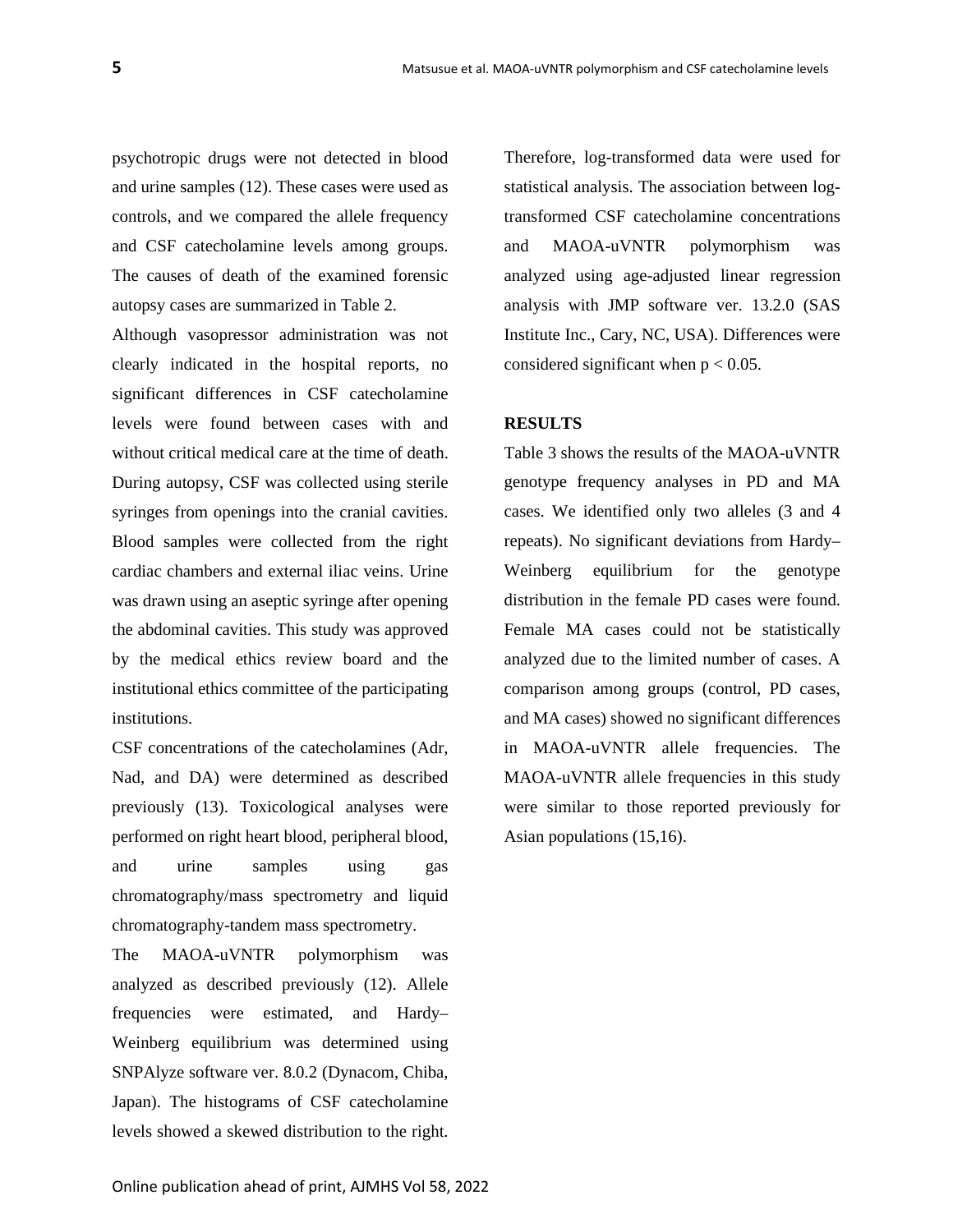psychotropic drugs were not detected in blood and urine samples (12). These cases were used as controls, and we compared the allele frequency and CSF catecholamine levels among groups. The causes of death of the examined forensic autopsy cases are summarized in Table 2.

Although vasopressor administration was not clearly indicated in the hospital reports, no significant differences in CSF catecholamine levels were found between cases with and without critical medical care at the time of death. During autopsy, CSF was collected using sterile syringes from openings into the cranial cavities. Blood samples were collected from the right cardiac chambers and external iliac veins. Urine was drawn using an aseptic syringe after opening the abdominal cavities. This study was approved by the medical ethics review board and the institutional ethics committee of the participating institutions.

CSF concentrations of the catecholamines (Adr, Nad, and DA) were determined as described previously (13). Toxicological analyses were performed on right heart blood, peripheral blood, and urine samples using gas chromatography/mass spectrometry and liquid chromatography-tandem mass spectrometry.

The MAOA-uVNTR polymorphism was analyzed as described previously (12). Allele frequencies were estimated, and Hardy– Weinberg equilibrium was determined using SNPAlyze software ver. 8.0.2 (Dynacom, Chiba, Japan). The histograms of CSF catecholamine levels showed a skewed distribution to the right.

Therefore, log-transformed data were used for statistical analysis. The association between logtransformed CSF catecholamine concentrations and MAOA-uVNTR polymorphism was analyzed using age-adjusted linear regression analysis with JMP software ver. 13.2.0 (SAS Institute Inc., Cary, NC, USA). Differences were considered significant when  $p < 0.05$ .

#### **RESULTS**

Table 3 shows the results of the MAOA-uVNTR genotype frequency analyses in PD and MA cases. We identified only two alleles (3 and 4 repeats). No significant deviations from Hardy– Weinberg equilibrium for the genotype distribution in the female PD cases were found. Female MA cases could not be statistically analyzed due to the limited number of cases. A comparison among groups (control, PD cases, and MA cases) showed no significant differences in MAOA-uVNTR allele frequencies. The MAOA-uVNTR allele frequencies in this study were similar to those reported previously for Asian populations (15,16).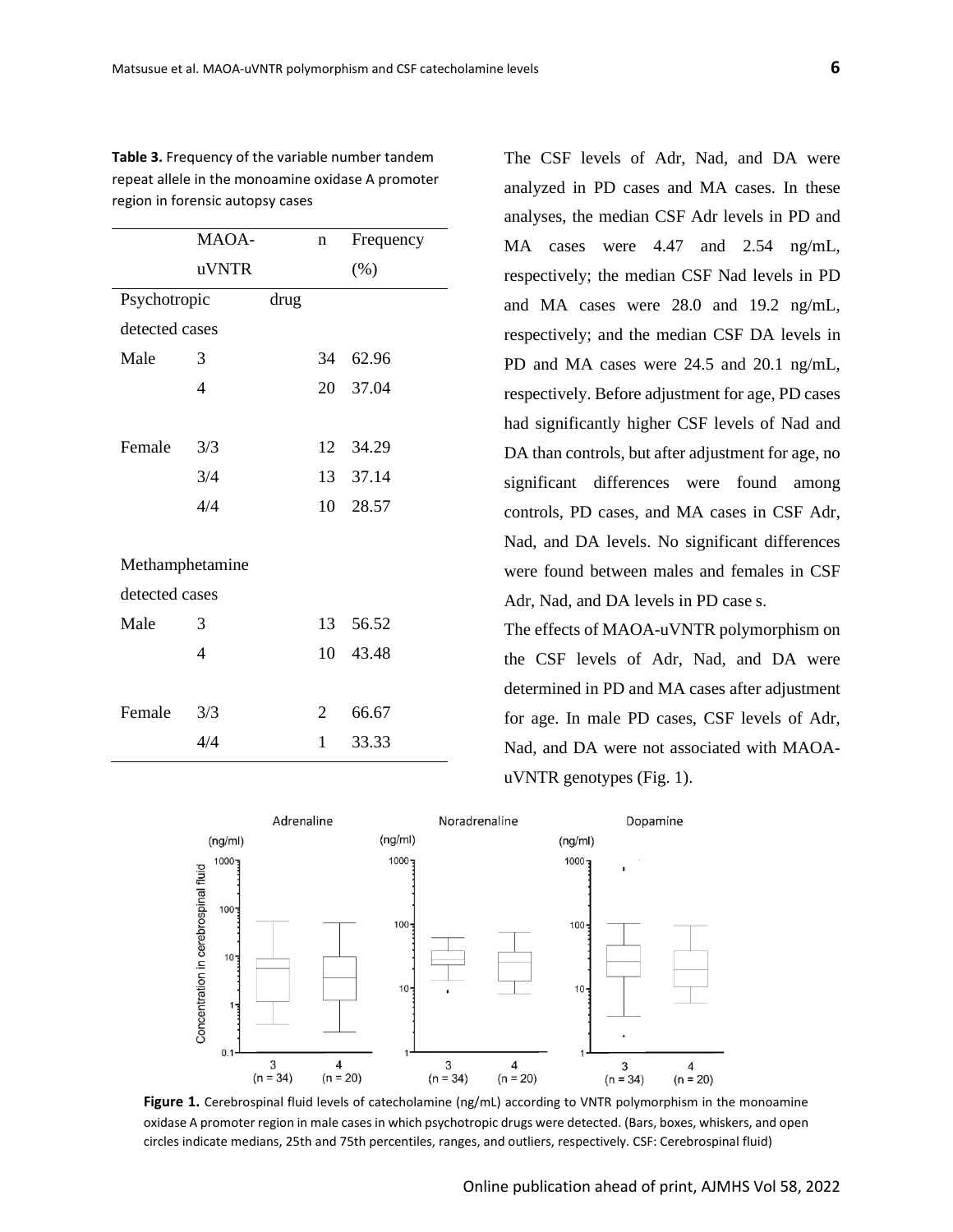|                 | MAOA- |      | n              | Frequency |  |  |
|-----------------|-------|------|----------------|-----------|--|--|
|                 | uVNTR |      |                | $(\%)$    |  |  |
| Psychotropic    |       | drug |                |           |  |  |
| detected cases  |       |      |                |           |  |  |
| Male            | 3     |      | 34             | 62.96     |  |  |
|                 | 4     |      | 20             | 37.04     |  |  |
|                 |       |      |                |           |  |  |
| Female          | 3/3   |      | 12             | 34.29     |  |  |
|                 | 3/4   |      |                | 13 37.14  |  |  |
|                 | 4/4   |      | 10             | 28.57     |  |  |
|                 |       |      |                |           |  |  |
| Methamphetamine |       |      |                |           |  |  |
| detected cases  |       |      |                |           |  |  |
| Male            | 3     |      | 13             | 56.52     |  |  |
|                 | 4     |      | 10             | 43.48     |  |  |
|                 |       |      |                |           |  |  |
| Female          | 3/3   |      | $\overline{2}$ | 66.67     |  |  |
|                 | 4/4   |      | 1              | 33.33     |  |  |
|                 |       |      |                |           |  |  |

**Table 3.** Frequency of the variable number tandem repeat allele in the monoamine oxidase A promoter region in forensic autopsy cases

The CSF levels of Adr, Nad, and DA were analyzed in PD cases and MA cases. In these analyses, the median CSF Adr levels in PD and MA cases were 4.47 and 2.54 ng/mL, respectively; the median CSF Nad levels in PD and MA cases were 28.0 and 19.2 ng/mL, respectively; and the median CSF DA levels in PD and MA cases were 24.5 and 20.1 ng/mL, respectively. Before adjustment for age, PD cases had significantly higher CSF levels of Nad and DA than controls, but after adjustment for age, no significant differences were found among controls, PD cases, and MA cases in CSF Adr, Nad, and DA levels. No significant differences were found between males and females in CSF Adr, Nad, and DA levels in PD case s.

The effects of MAOA-uVNTR polymorphism on the CSF levels of Adr, Nad, and DA were determined in PD and MA cases after adjustment for age. In male PD cases, CSF levels of Adr, Nad, and DA were not associated with MAOAuVNTR genotypes (Fig. 1).



**Figure 1.** Cerebrospinal fluid levels of catecholamine (ng/mL) according to VNTR polymorphism in the monoamine oxidase A promoter region in male cases in which psychotropic drugs were detected. (Bars, boxes, whiskers, and open circles indicate medians, 25th and 75th percentiles, ranges, and outliers, respectively. CSF: Cerebrospinal fluid)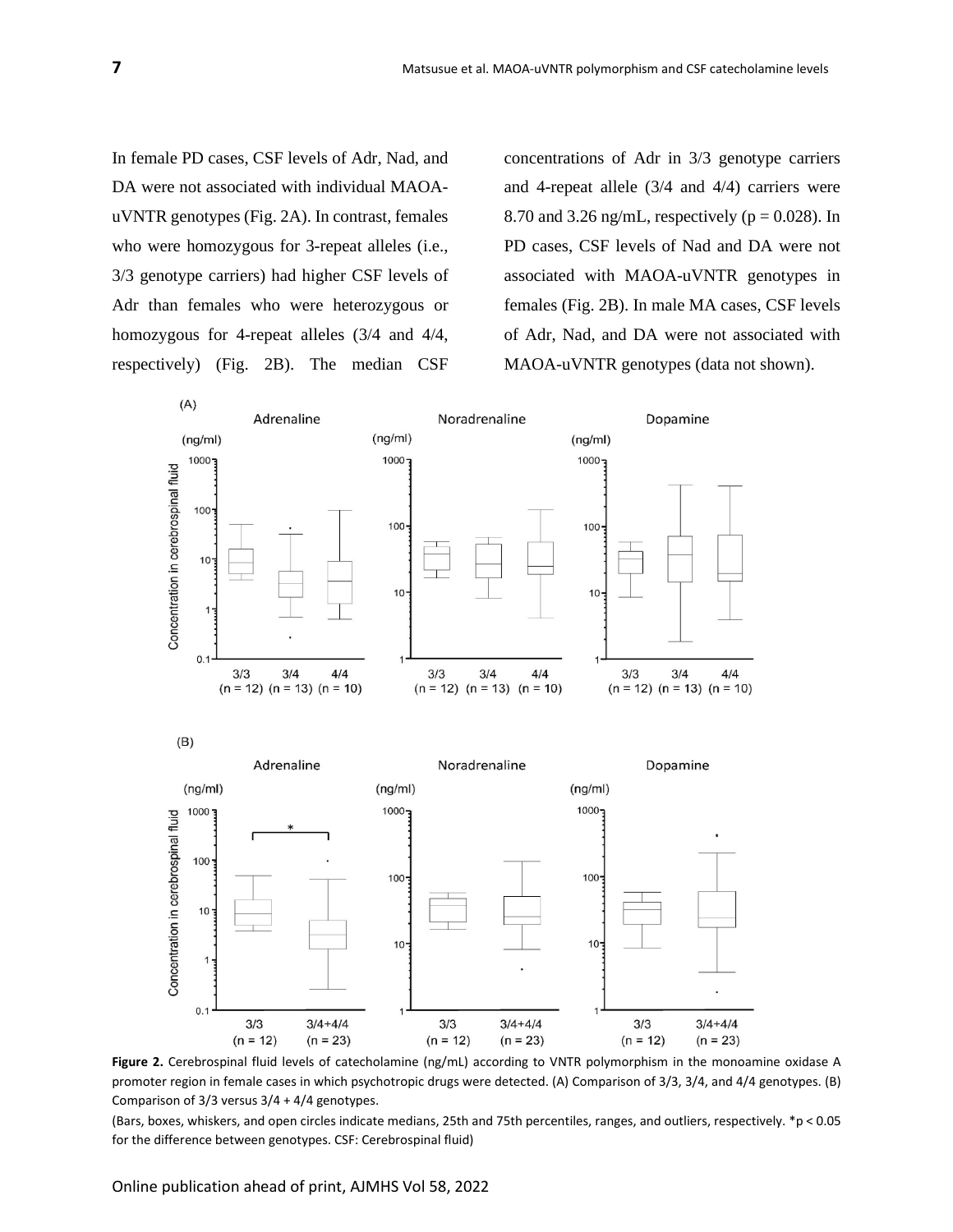In female PD cases, CSF levels of Adr, Nad, and DA were not associated with individual MAOAuVNTR genotypes (Fig. 2A). In contrast, females who were homozygous for 3-repeat alleles (i.e., 3/3 genotype carriers) had higher CSF levels of Adr than females who were heterozygous or homozygous for 4-repeat alleles (3/4 and 4/4, respectively) (Fig. 2B). The median CSF

concentrations of Adr in 3/3 genotype carriers and 4-repeat allele (3/4 and 4/4) carriers were 8.70 and 3.26 ng/mL, respectively ( $p = 0.028$ ). In PD cases, CSF levels of Nad and DA were not associated with MAOA-uVNTR genotypes in females (Fig. 2B). In male MA cases, CSF levels of Adr, Nad, and DA were not associated with MAOA-uVNTR genotypes (data not shown).



**Figure 2.** Cerebrospinal fluid levels of catecholamine (ng/mL) according to VNTR polymorphism in the monoamine oxidase A promoter region in female cases in which psychotropic drugs were detected. (A) Comparison of 3/3, 3/4, and 4/4 genotypes. (B) Comparison of 3/3 versus 3/4 + 4/4 genotypes.

(Bars, boxes, whiskers, and open circles indicate medians, 25th and 75th percentiles, ranges, and outliers, respectively. \*p < 0.05 for the difference between genotypes. CSF: Cerebrospinal fluid)

Online publication ahead of print, AJMHS Vol 58, 2022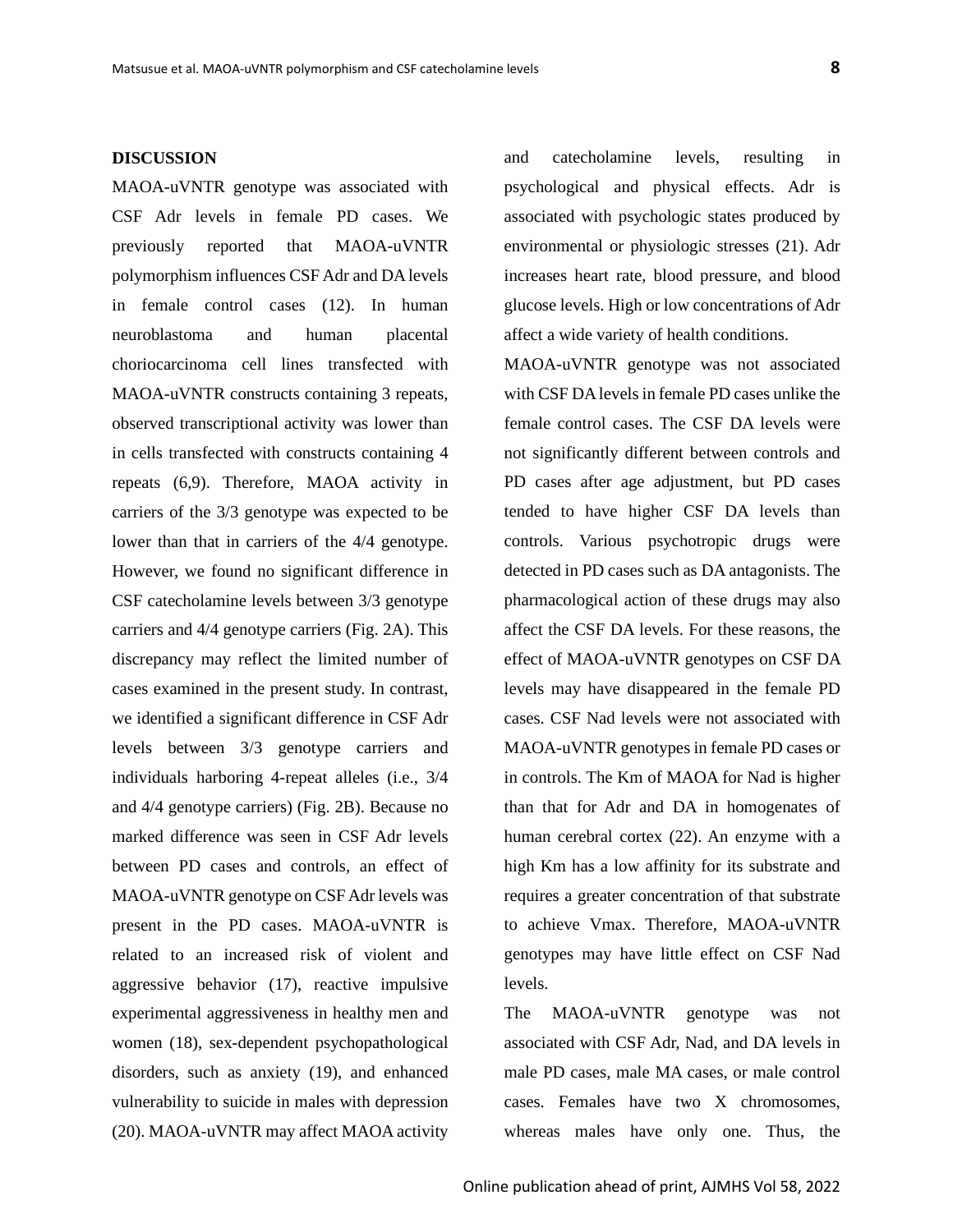#### **DISCUSSION**

MAOA-uVNTR genotype was associated with CSF Adr levels in female PD cases. We previously reported that MAOA-uVNTR polymorphism influences CSF Adr and DA levels in female control cases (12). In human neuroblastoma and human placental choriocarcinoma cell lines transfected with MAOA-uVNTR constructs containing 3 repeats, observed transcriptional activity was lower than in cells transfected with constructs containing 4 repeats (6,9). Therefore, MAOA activity in carriers of the 3/3 genotype was expected to be lower than that in carriers of the 4/4 genotype. However, we found no significant difference in CSF catecholamine levels between 3/3 genotype carriers and 4/4 genotype carriers (Fig. 2A). This discrepancy may reflect the limited number of cases examined in the present study. In contrast, we identified a significant difference in CSF Adr levels between 3/3 genotype carriers and individuals harboring 4-repeat alleles (i.e., 3/4 and 4/4 genotype carriers) (Fig. 2B). Because no marked difference was seen in CSF Adr levels between PD cases and controls, an effect of MAOA-uVNTR genotype on CSF Adr levels was present in the PD cases. MAOA-uVNTR is related to an increased risk of violent and aggressive behavior (17), reactive impulsive experimental aggressiveness in healthy men and women (18), sex-dependent psychopathological disorders, such as anxiety (19), and enhanced vulnerability to suicide in males with depression (20). MAOA-uVNTR may affect MAOA activity

and catecholamine levels, resulting in psychological and physical effects. Adr is associated with psychologic states produced by environmental or physiologic stresses (21). Adr increases heart rate, blood pressure, and blood glucose levels. High or low concentrations of Adr affect a wide variety of health conditions.

MAOA-uVNTR genotype was not associated with CSF DA levels in female PD cases unlike the female control cases. The CSF DA levels were not significantly different between controls and PD cases after age adjustment, but PD cases tended to have higher CSF DA levels than controls. Various psychotropic drugs were detected in PD cases such as DA antagonists. The pharmacological action of these drugs may also affect the CSF DA levels. For these reasons, the effect of MAOA-uVNTR genotypes on CSF DA levels may have disappeared in the female PD cases. CSF Nad levels were not associated with MAOA-uVNTR genotypes in female PD cases or in controls. The Km of MAOA for Nad is higher than that for Adr and DA in homogenates of human cerebral cortex (22). An enzyme with a high Km has a low affinity for its substrate and requires a greater concentration of that substrate to achieve Vmax. Therefore, MAOA-uVNTR genotypes may have little effect on CSF Nad levels.

The MAOA-uVNTR genotype was not associated with CSF Adr, Nad, and DA levels in male PD cases, male MA cases, or male control cases. Females have two X chromosomes, whereas males have only one. Thus, the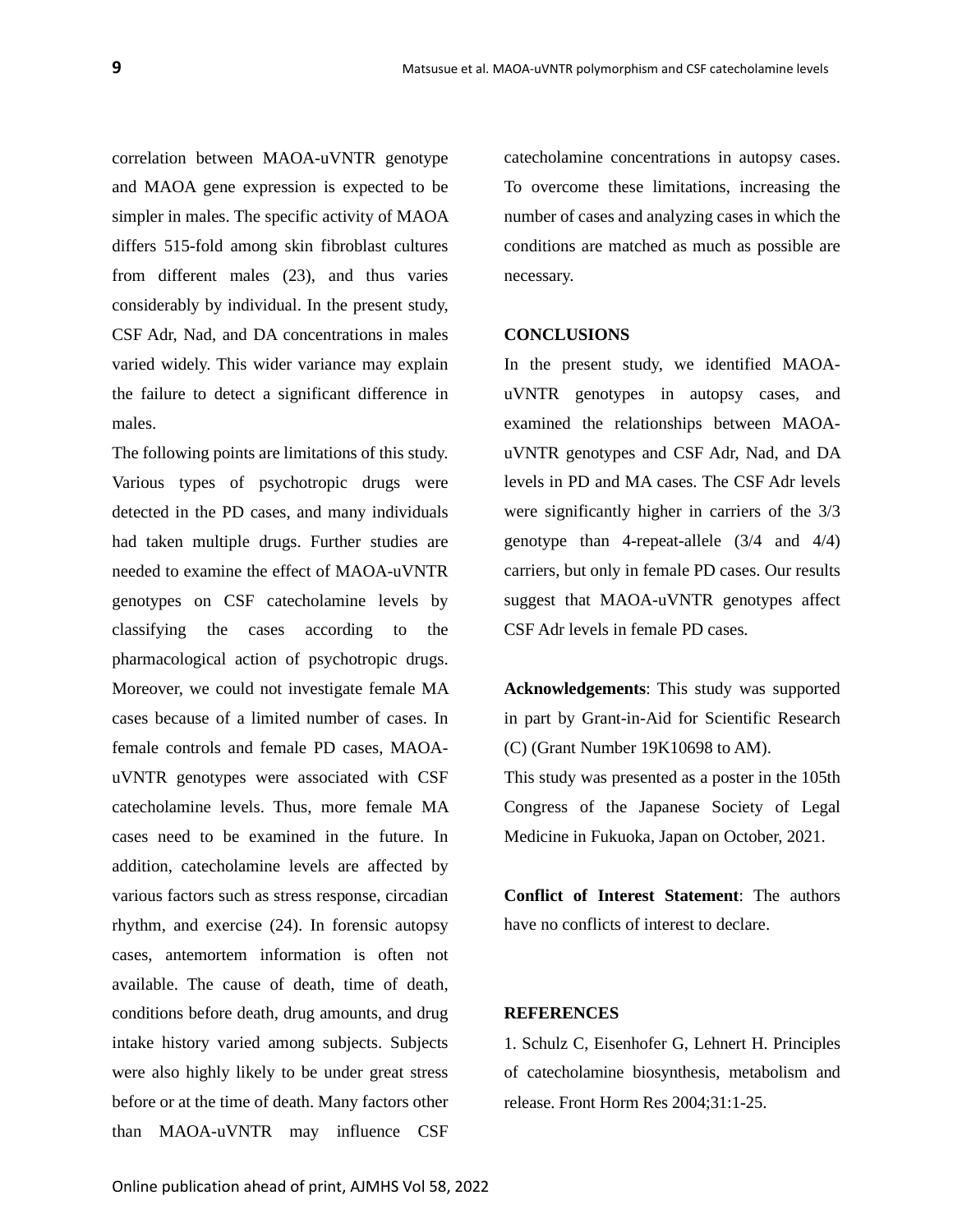correlation between MAOA-uVNTR genotype and MAOA gene expression is expected to be simpler in males. The specific activity of MAOA differs 515-fold among skin fibroblast cultures from different males (23), and thus varies considerably by individual. In the present study, CSF Adr, Nad, and DA concentrations in males varied widely. This wider variance may explain the failure to detect a significant difference in males.

The following points are limitations of this study. Various types of psychotropic drugs were detected in the PD cases, and many individuals had taken multiple drugs. Further studies are needed to examine the effect of MAOA-uVNTR genotypes on CSF catecholamine levels by classifying the cases according to the pharmacological action of psychotropic drugs. Moreover, we could not investigate female MA cases because of a limited number of cases. In female controls and female PD cases, MAOAuVNTR genotypes were associated with CSF catecholamine levels. Thus, more female MA cases need to be examined in the future. In addition, catecholamine levels are affected by various factors such as stress response, circadian rhythm, and exercise (24). In forensic autopsy cases, antemortem information is often not available. The cause of death, time of death, conditions before death, drug amounts, and drug intake history varied among subjects. Subjects were also highly likely to be under great stress before or at the time of death. Many factors other than MAOA-uVNTR may influence CSF

catecholamine concentrations in autopsy cases. To overcome these limitations, increasing the number of cases and analyzing cases in which the conditions are matched as much as possible are necessary.

#### **CONCLUSIONS**

In the present study, we identified MAOAuVNTR genotypes in autopsy cases, and examined the relationships between MAOAuVNTR genotypes and CSF Adr, Nad, and DA levels in PD and MA cases. The CSF Adr levels were significantly higher in carriers of the 3/3 genotype than 4-repeat-allele (3/4 and 4/4) carriers, but only in female PD cases. Our results suggest that MAOA-uVNTR genotypes affect CSF Adr levels in female PD cases.

**Acknowledgements**: This study was supported in part by Grant-in-Aid for Scientific Research (C) (Grant Number 19K10698 to AM). This study was presented as a poster in the 105th Congress of the Japanese Society of Legal Medicine in Fukuoka, Japan on October, 2021.

**Conflict of Interest Statement**: The authors have no conflicts of interest to declare.

### **REFERENCES**

1. Schulz C, Eisenhofer G, Lehnert H. Principles of catecholamine biosynthesis, metabolism and release. Front Horm Res 2004;31:1-25.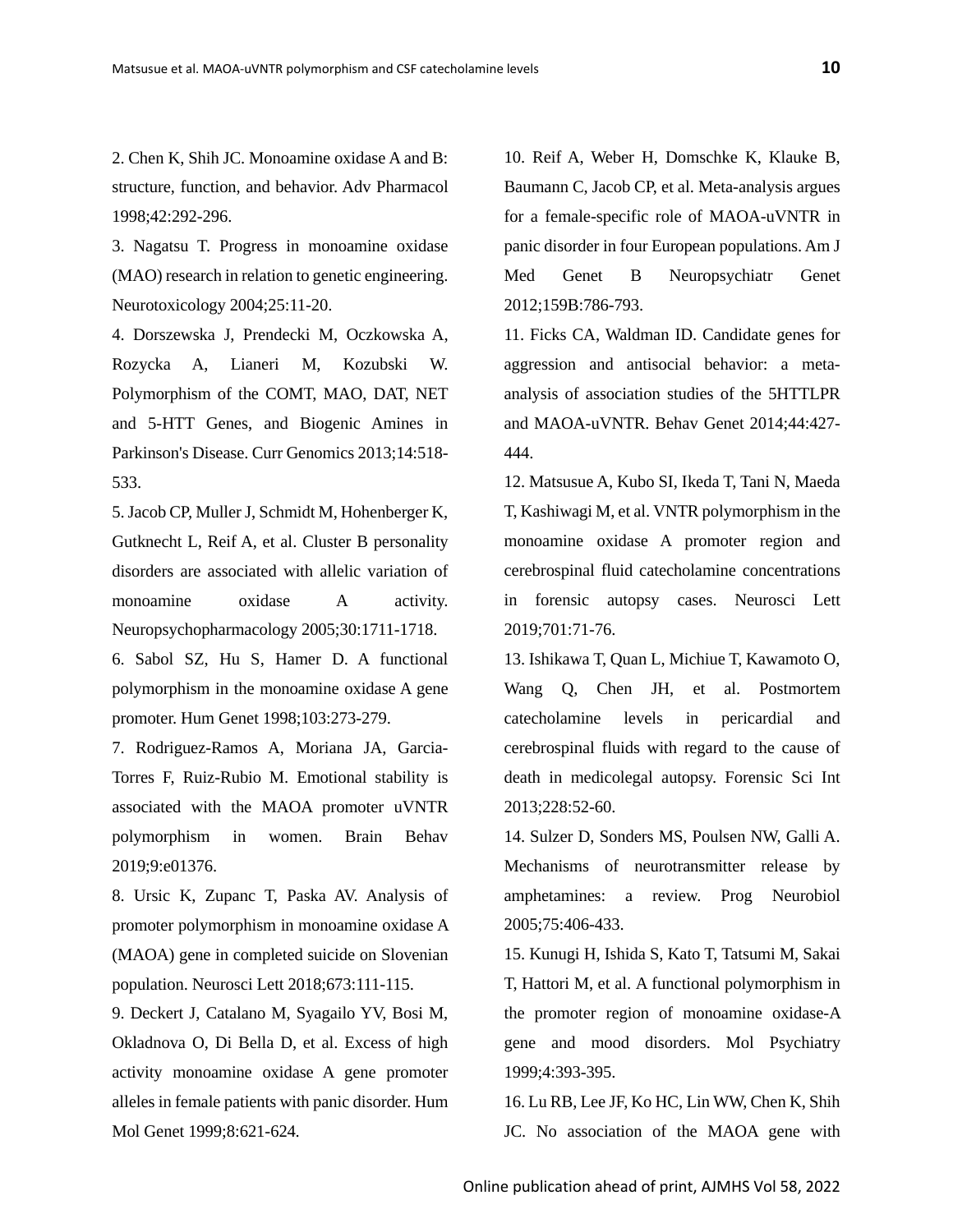2. Chen K, Shih JC. Monoamine oxidase A and B: structure, function, and behavior. Adv Pharmacol

1998;42:292-296.

3. Nagatsu T. Progress in monoamine oxidase (MAO) research in relation to genetic engineering. Neurotoxicology 2004;25:11-20.

4. Dorszewska J, Prendecki M, Oczkowska A, Rozycka A, Lianeri M, Kozubski W. Polymorphism of the COMT, MAO, DAT, NET and 5-HTT Genes, and Biogenic Amines in Parkinson's Disease. Curr Genomics 2013;14:518- 533.

5.Jacob CP, Muller J, Schmidt M, Hohenberger K, Gutknecht L, Reif A, et al. Cluster B personality disorders are associated with allelic variation of monoamine oxidase A activity. Neuropsychopharmacology 2005;30:1711-1718.

6. Sabol SZ, Hu S, Hamer D. A functional polymorphism in the monoamine oxidase A gene promoter. Hum Genet 1998;103:273-279.

7. Rodriguez-Ramos A, Moriana JA, Garcia-Torres F, Ruiz-Rubio M. Emotional stability is associated with the MAOA promoter uVNTR polymorphism in women. Brain Behav 2019;9:e01376.

8. Ursic K, Zupanc T, Paska AV. Analysis of promoter polymorphism in monoamine oxidase A (MAOA) gene in completed suicide on Slovenian population. Neurosci Lett 2018;673:111-115.

9. Deckert J, Catalano M, Syagailo YV, Bosi M, Okladnova O, Di Bella D, et al. Excess of high activity monoamine oxidase A gene promoter alleles in female patients with panic disorder. Hum Mol Genet 1999;8:621-624.

10. Reif A, Weber H, Domschke K, Klauke B, Baumann C, Jacob CP, et al. Meta-analysis argues for a female-specific role of MAOA-uVNTR in panic disorder in four European populations. Am J Med Genet B Neuropsychiatr Genet 2012;159B:786-793.

11. Ficks CA, Waldman ID. Candidate genes for aggression and antisocial behavior: a metaanalysis of association studies of the 5HTTLPR and MAOA-uVNTR. Behav Genet 2014;44:427- 444.

12. Matsusue A, Kubo SI, Ikeda T, Tani N, Maeda T, Kashiwagi M, et al. VNTR polymorphism in the monoamine oxidase A promoter region and cerebrospinal fluid catecholamine concentrations in forensic autopsy cases. Neurosci Lett 2019;701:71-76.

13. Ishikawa T, Quan L, Michiue T, Kawamoto O, Wang Q, Chen JH, et al. Postmortem catecholamine levels in pericardial and cerebrospinal fluids with regard to the cause of death in medicolegal autopsy. Forensic Sci Int 2013;228:52-60.

14. Sulzer D, Sonders MS, Poulsen NW, Galli A. Mechanisms of neurotransmitter release by amphetamines: a review. Prog Neurobiol 2005;75:406-433.

15. Kunugi H, Ishida S, Kato T, Tatsumi M, Sakai T, Hattori M, et al. A functional polymorphism in the promoter region of monoamine oxidase-A gene and mood disorders. Mol Psychiatry 1999;4:393-395.

16. Lu RB, Lee JF, Ko HC, Lin WW, Chen K, Shih JC. No association of the MAOA gene with